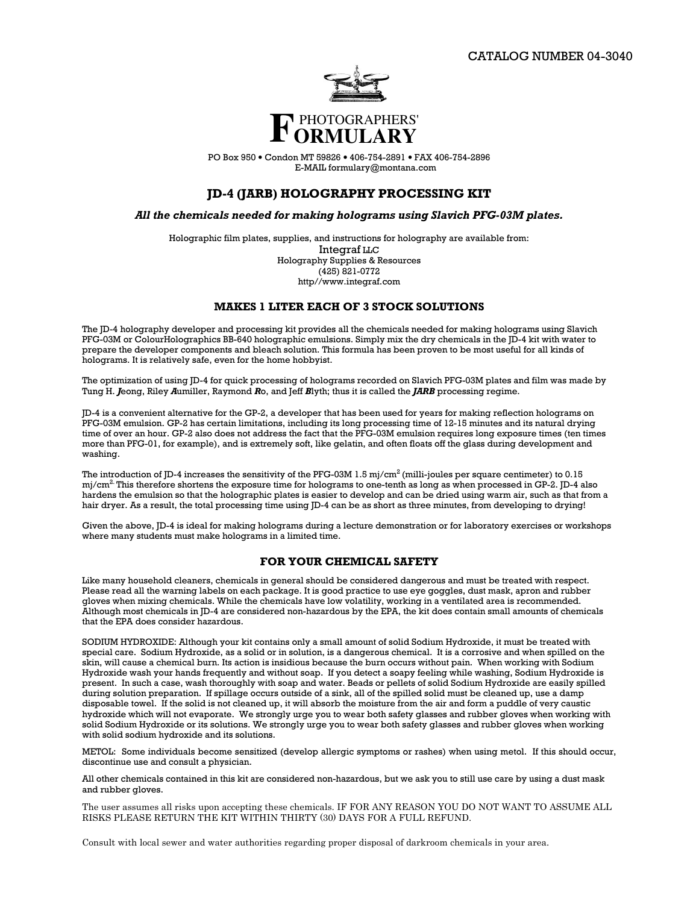

PO Box 950 . Condon MT 59826 . 406-754-2891 . FAX 406-754-2896 E-MAIL formulary@montana.com

# JD-4 (JARB) HOLOGRAPHY PROCESSING KIT

All the chemicals needed for making holograms using Slavich PFG-03M plates.

Holographic film plates, supplies, and instructions for holography are available from: Integraf LLC Holography Supplies & Resources  $(425)$  821-0772 http//www.integraf.com

# MAKES 1 LITER EACH OF 3 STOCK SOLUTIONS

The JD-4 holography developer and processing kit provides all the chemicals needed for making holograms using Slavich PFG-03M or ColourHolographics BB-640 holographic emulsions. Simply mix the dry chemicals in the JD-4 kit with water to prepare the developer components and bleach solution. This formula has been proven to be most useful for all kinds of holograms. It is relatively safe, even for the home hobbyist.

The optimization of using JD-4 for quick processing of holograms recorded on Slavich PFG-03M plates and film was made by Tung H. Jeong, Riley Aumiller, Raymond Ro, and Jeff Blyth; thus it is called the JARB processing regime.

JD-4 is a convenient alternative for the GP-2, a developer that has been used for years for making reflection holograms on PFG-03M emulsion. GP-2 has certain limitations, including its long processing time of 12-15 minutes and its natural drying time of over an hour. GP-2 also does not address the fact that the PFG-03M emulsion requires long exposure times (ten times more than PFG-01, for example), and is extremely soft, like gelatin, and often floats off the glass during development and washing.

The introduction of JD-4 increases the sensitivity of the PFG-03M 1.5  $mj/cm<sup>2</sup>$  (milli-joules per square centimeter) to 0.15 mj/cm<sup>2.</sup> This therefore shortens the exposure time for holograms to one-tenth as long as when processed in GP-2. JD-4 also hardens the emulsion so that the holographic plates is easier to develop and can be dried using warm air, such as that from a hair dryer. As a result, the total processing time using JD-4 can be as short as three minutes, from developing to drying!

Given the above, JD-4 is ideal for making holograms during a lecture demonstration or for laboratory exercises or workshops where many students must make holograms in a limited time.

# **FOR YOUR CHEMICAL SAFETY**

Like many household cleaners, chemicals in general should be considered dangerous and must be treated with respect. Please read all the warning labels on each package. It is good practice to use eye goggles, dust mask, apron and rubber gloves when mixing chemicals. While the chemicals have low volatility, working in a ventilated area is recommended. Although most chemicals in JD-4 are considered non-hazardous by the EPA, the kit does contain small amounts of chemicals that the EPA does consider hazardous.

SODIUM HYDROXIDE: Although your kit contains only a small amount of solid Sodium Hydroxide, it must be treated with special care. Sodium Hydroxide, as a solid or in solution, is a dangerous chemical. It is a corrosive and when spilled on the skin, will cause a chemical burn. Its action is insidious because the burn occurs without pain. When working with Sodium Hydroxide wash your hands frequently and without soap. If you detect a soapy feeling while washing, Sodium Hydroxide is present. In such a case, wash thoroughly with soap and water. Beads or pellets of solid Sodium Hydroxide are easily spilled during solution preparation. If spillage occurs outside of a sink, all of the spilled solid must be cleaned up, use a damp disposable towel. If the solid is not cleaned up, it will absorb the moisture from the air and form a puddle of very caustic hydroxide which will not evaporate. We strongly urge you to wear both safety glasses and rubber gloves when working with solid Sodium Hydroxide or its solutions. We strongly urge you to wear both safety glasses and rubber gloves when working with solid sodium hydroxide and its solutions.

METOL: Some individuals become sensitized (develop allergic symptoms or rashes) when using metol. If this should occur, discontinue use and consult a physician.

All other chemicals contained in this kit are considered non-hazardous, but we ask you to still use care by using a dust mask and rubber gloves.

The user assumes all risks upon accepting these chemicals. IF FOR ANY REASON YOU DO NOT WANT TO ASSUME ALL RISKS PLEASE RETURN THE KIT WITHIN THIRTY (30) DAYS FOR A FULL REFUND.

Consult with local sewer and water authorities regarding proper disposal of darkroom chemicals in your area.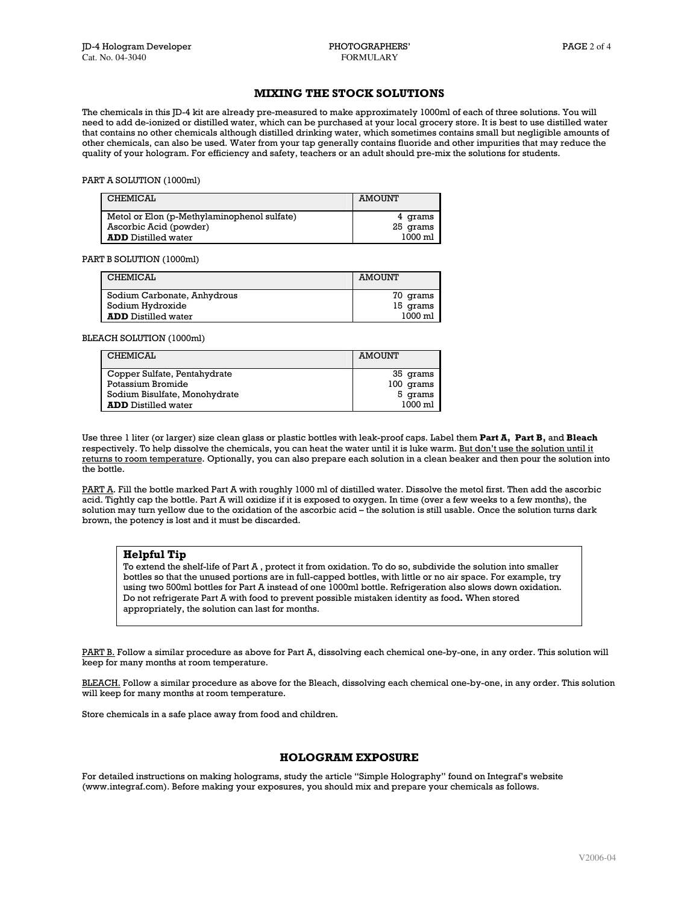# **MIXING THE STOCK SOLUTIONS**

The chemicals in this JD-4 kit are already pre-measured to make approximately 1000ml of each of three solutions. You will need to add de-ionized or distilled water, which can be purchased at your local grocery store. It is best to use distilled water that contains no other chemicals although distilled drinking water, which sometimes contains small but negligible amounts of other chemicals, can also be used. Water from your tap generally contains fluoride and other impurities that may reduce the quality of your hologram. For efficiency and safety, teachers or an adult should pre-mix the solutions for students.

#### PART A SOLUTION (1000ml)

| <b>CHEMICAL</b>                             | AMOUNT   |
|---------------------------------------------|----------|
| Metol or Elon (p-Methylaminophenol sulfate) | 4 grams  |
| Ascorbic Acid (powder)                      | 25 grams |
| <b>ADD</b> Distilled water                  | 1000 ml  |

PART B SOLUTION (1000ml)

| <b>CHEMICAL</b>             | AMOUNT   |
|-----------------------------|----------|
| Sodium Carbonate, Anhydrous | 70 grams |
| Sodium Hydroxide            | 15 grams |
| <b>ADD</b> Distilled water  | 1000 ml  |

BLEACH SOLUTION (1000ml)

| <b>CHEMICAL</b>               | <b>AMOUNT</b> |
|-------------------------------|---------------|
| Copper Sulfate, Pentahydrate  | 35 grams      |
| Potassium Bromide             | 100 qrams     |
| Sodium Bisulfate, Monohydrate | 5 grams       |
| <b>ADD</b> Distilled water    | 1000 ml       |

Use three 1 liter (or larger) size clean glass or plastic bottles with leak-proof caps. Label them Part A, Part B, and Bleach respectively. To help dissolve the chemicals, you can heat the water until it is luke warm. But don't use the solution until it returns to room temperature. Optionally, you can also prepare each solution in a clean beaker and then pour the solution into the bottle.

PART A. Fill the bottle marked Part A with roughly 1000 ml of distilled water. Dissolve the metol first. Then add the ascorbic acid. Tightly cap the bottle. Part A will oxidize if it is exposed to oxygen. In time (over a few weeks to a few months), the solution may turn yellow due to the oxidation of the ascorbic acid - the solution is still usable. Once the solution turns dark brown, the potency is lost and it must be discarded.

### **Helpful Tip**

To extend the shelf-life of Part A, protect it from oxidation. To do so, subdivide the solution into smaller bottles so that the unused portions are in full-capped bottles, with little or no air space. For example, try using two 500ml bottles for Part A instead of one 1000ml bottle. Refrigeration also slows down oxidation. Do not refrigerate Part A with food to prevent possible mistaken identity as food. When stored appropriately, the solution can last for months.

PART B. Follow a similar procedure as above for Part A, dissolving each chemical one-by-one, in any order. This solution will keep for many months at room temperature.

BLEACH. Follow a similar procedure as above for the Bleach, dissolving each chemical one-by-one, in any order. This solution will keep for many months at room temperature.

Store chemicals in a safe place away from food and children.

# **HOLOGRAM EXPOSURE**

For detailed instructions on making holograms, study the article "Simple Holography" found on Integraf's website (www.integraf.com). Before making your exposures, you should mix and prepare your chemicals as follows.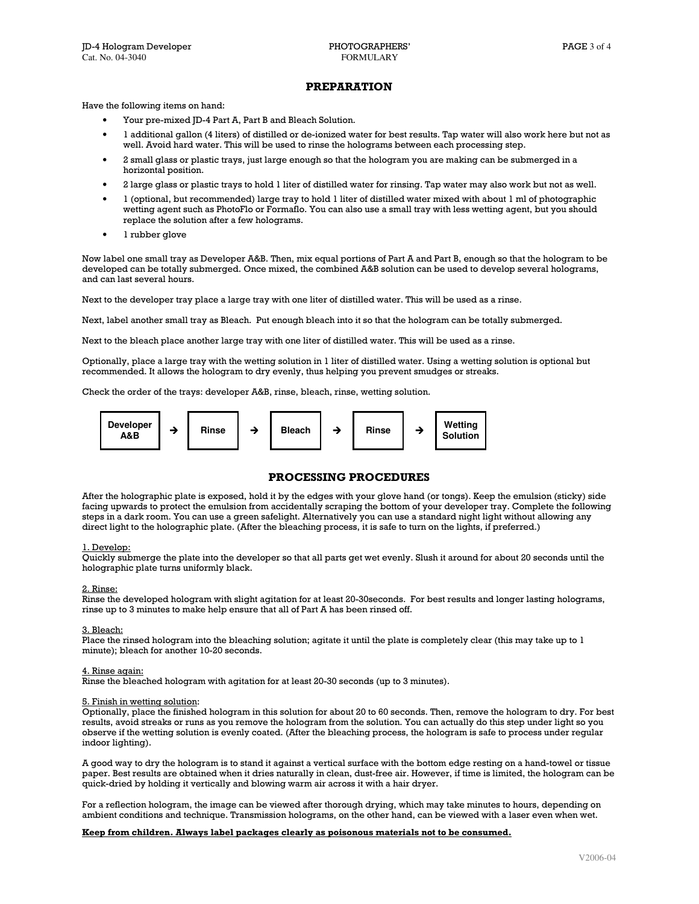### **PREPARATION**

Have the following items on hand:

- Your pre-mixed JD-4 Part A, Part B and Bleach Solution.
- l additional gallon (4 liters) of distilled or de-ionized water for best results. Tap water will also work here but not as  $\bullet$ well. Avoid hard water. This will be used to rinse the holograms between each processing step.
- 2 small glass or plastic trays, just large enough so that the hologram you are making can be submerged in a horizontal position.
- 2 large glass or plastic trays to hold 1 liter of distilled water for rinsing. Tap water may also work but not as well.
- l (optional, but recommended) large tray to hold 1 liter of distilled water mixed with about 1 ml of photographic wetting agent such as PhotoFlo or Formaflo. You can also use a small tray with less wetting agent, but you should replace the solution after a few holograms.
- l rubber glove

Now label one small tray as Developer A&B. Then, mix equal portions of Part A and Part B, enough so that the hologram to be developed can be totally submerged. Once mixed, the combined A&B solution can be used to develop several holograms, and can last several hours.

Next to the developer tray place a large tray with one liter of distilled water. This will be used as a rinse.

Next, label another small tray as Bleach. Put enough bleach into it so that the hologram can be totally submerged.

Next to the bleach place another large tray with one liter of distilled water. This will be used as a rinse.

Optionally, place a large tray with the wetting solution in 1 liter of distilled water. Using a wetting solution is optional but recommended. It allows the hologram to dry evenly, thus helping you prevent smudges or streaks.

Check the order of the trays: developer A&B, rinse, bleach, rinse, wetting solution.



# **PROCESSING PROCEDURES**

After the holographic plate is exposed, hold it by the edges with your glove hand (or tongs). Keep the emulsion (sticky) side facing upwards to protect the emulsion from accidentally scraping the bottom of your developer tray. Complete the following steps in a dark room. You can use a green safelight. Alternatively you can use a standard night light without allowing any direct light to the holographic plate. (After the bleaching process, it is safe to turn on the lights, if preferred.)

#### 1. Develop:

Quickly submerge the plate into the developer so that all parts get wet evenly. Slush it around for about 20 seconds until the holographic plate turns uniformly black.

#### $2$  Rinse:

Rinse the developed hologram with slight agitation for at least 20-30seconds. For best results and longer lasting holograms, rinse up to 3 minutes to make help ensure that all of Part A has been rinsed off.

#### 3. Bleach:

Place the rinsed hologram into the bleaching solution; agitate it until the plate is completely clear (this may take up to 1 minute); bleach for another 10-20 seconds.

#### 4. Rinse again:

Rinse the bleached hologram with agitation for at least 20-30 seconds (up to 3 minutes).

### 5. Finish in wetting solution:

Optionally, place the finished hologram in this solution for about 20 to 60 seconds. Then, remove the hologram to dry. For best results, avoid streaks or runs as you remove the hologram from the solution. You can actually do this step under light so you observe if the wetting solution is evenly coated. (After the bleaching process, the hologram is safe to process under regular indoor lighting).

A good way to dry the hologram is to stand it against a vertical surface with the bottom edge resting on a hand-towel or tissue paper. Best results are obtained when it dries naturally in clean, dust-free air. However, if time is limited, the hologram can be quick-dried by holding it vertically and blowing warm air across it with a hair dryer.

For a reflection hologram, the image can be viewed after thorough drying, which may take minutes to hours, depending on ambient conditions and technique. Transmission holograms, on the other hand, can be viewed with a laser even when wet.

#### Keep from children. Always label packages clearly as poisonous materials not to be consumed.